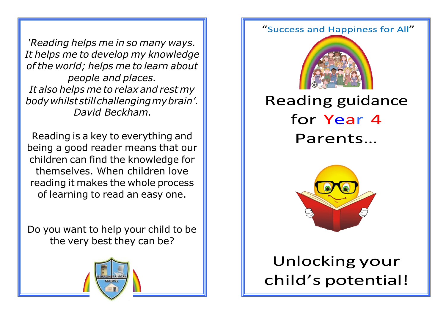*'Reading helps me in so many ways. It helps me to develop my knowledge of the world; helps me to learn about people and places. It also helps me to relax and rest my bodywhilststillchallengingmybrain'. David Beckham.*

Reading is a key to everything and being a good reader means that our children can find the knowledge for themselves. When children love reading it makes the whole process of learning to read an easy one.

Do you want to help your child to be the very best they can be?



## "Success and Happiness for All"



## **Reading guidance** for Year 4 Parents...



## Unlocking your child's potential!